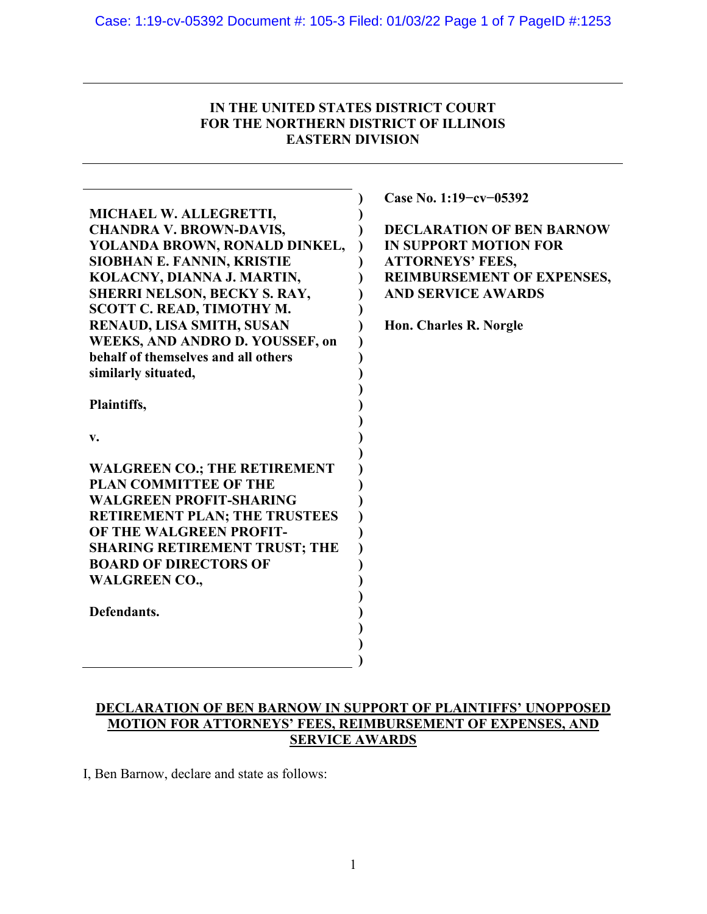## **IN THE UNITED STATES DISTRICT COURT FOR THE NORTHERN DISTRICT OF ILLINOIS EASTERN DIVISION**

|                                      | Case No. 1:19-cv-05392            |
|--------------------------------------|-----------------------------------|
| MICHAEL W. ALLEGRETTI,               |                                   |
| <b>CHANDRA V. BROWN-DAVIS,</b>       | <b>DECLARATION OF BEN BARNOW</b>  |
| YOLANDA BROWN, RONALD DINKEL,        | <b>IN SUPPORT MOTION FOR</b>      |
| <b>SIOBHAN E. FANNIN, KRISTIE</b>    | <b>ATTORNEYS' FEES,</b>           |
| KOLACNY, DIANNA J. MARTIN,           | <b>REIMBURSEMENT OF EXPENSES,</b> |
| <b>SHERRI NELSON, BECKY S. RAY,</b>  | <b>AND SERVICE AWARDS</b>         |
| SCOTT C. READ, TIMOTHY M.            |                                   |
| RENAUD, LISA SMITH, SUSAN            | Hon. Charles R. Norgle            |
| WEEKS, AND ANDRO D. YOUSSEF, on      |                                   |
| behalf of themselves and all others  |                                   |
| similarly situated,                  |                                   |
|                                      |                                   |
| Plaintiffs,                          |                                   |
|                                      |                                   |
| v.                                   |                                   |
| <b>WALGREEN CO.; THE RETIREMENT</b>  |                                   |
| <b>PLAN COMMITTEE OF THE</b>         |                                   |
| <b>WALGREEN PROFIT-SHARING</b>       |                                   |
| <b>RETIREMENT PLAN; THE TRUSTEES</b> |                                   |
| OF THE WALGREEN PROFIT-              |                                   |
| <b>SHARING RETIREMENT TRUST; THE</b> |                                   |
| <b>BOARD OF DIRECTORS OF</b>         |                                   |
| <b>WALGREEN CO.,</b>                 |                                   |
|                                      |                                   |
| Defendants.                          |                                   |
|                                      |                                   |
|                                      |                                   |
|                                      |                                   |
|                                      |                                   |

# **DECLARATION OF BEN BARNOW IN SUPPORT OF PLAINTIFFS' UNOPPOSED MOTION FOR ATTORNEYS' FEES, REIMBURSEMENT OF EXPENSES, AND SERVICE AWARDS**

I, Ben Barnow, declare and state as follows:

 $\overline{\phantom{a}}$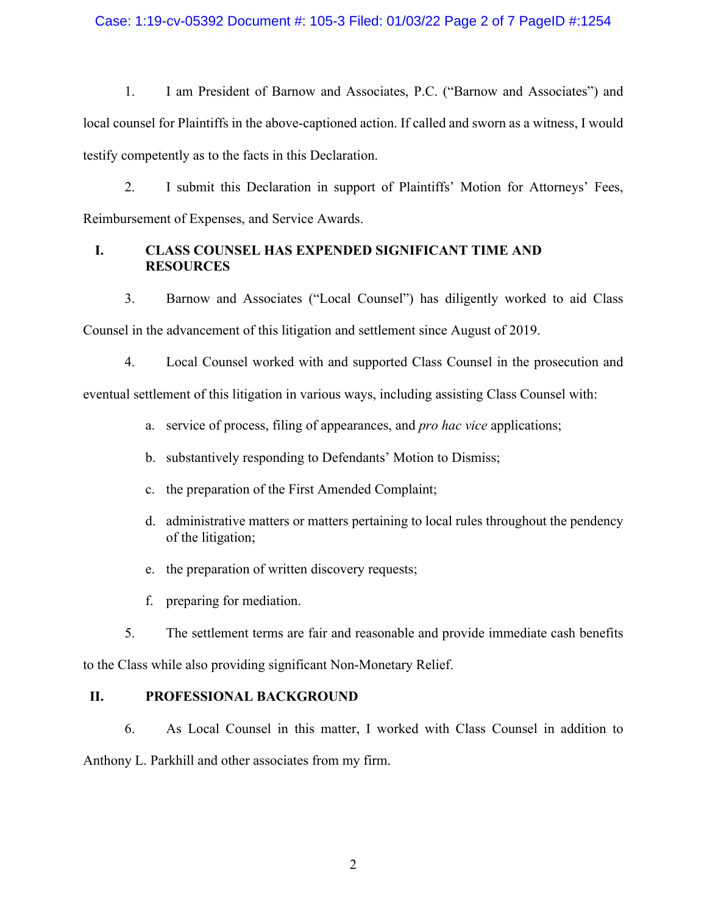### Case: 1:19-cv-05392 Document #: 105-3 Filed: 01/03/22 Page 2 of 7 PageID #:1254

1. I am President of Barnow and Associates, P.C. ("Barnow and Associates") and local counsel for Plaintiffs in the above-captioned action. If called and sworn as a witness, I would testify competently as to the facts in this Declaration.

2. I submit this Declaration in support of Plaintiffs' Motion for Attorneys' Fees, Reimbursement of Expenses, and Service Awards.

## **I. CLASS COUNSEL HAS EXPENDED SIGNIFICANT TIME AND RESOURCES**

3. Barnow and Associates ("Local Counsel") has diligently worked to aid Class Counsel in the advancement of this litigation and settlement since August of 2019.

4. Local Counsel worked with and supported Class Counsel in the prosecution and

eventual settlement of this litigation in various ways, including assisting Class Counsel with:

a. service of process, filing of appearances, and *pro hac vice* applications;

- b. substantively responding to Defendants' Motion to Dismiss;
- c. the preparation of the First Amended Complaint;
- d. administrative matters or matters pertaining to local rules throughout the pendency of the litigation;
- e. the preparation of written discovery requests;
- f. preparing for mediation.

5. The settlement terms are fair and reasonable and provide immediate cash benefits to the Class while also providing significant Non-Monetary Relief.

## **II. PROFESSIONAL BACKGROUND**

6. As Local Counsel in this matter, I worked with Class Counsel in addition to Anthony L. Parkhill and other associates from my firm.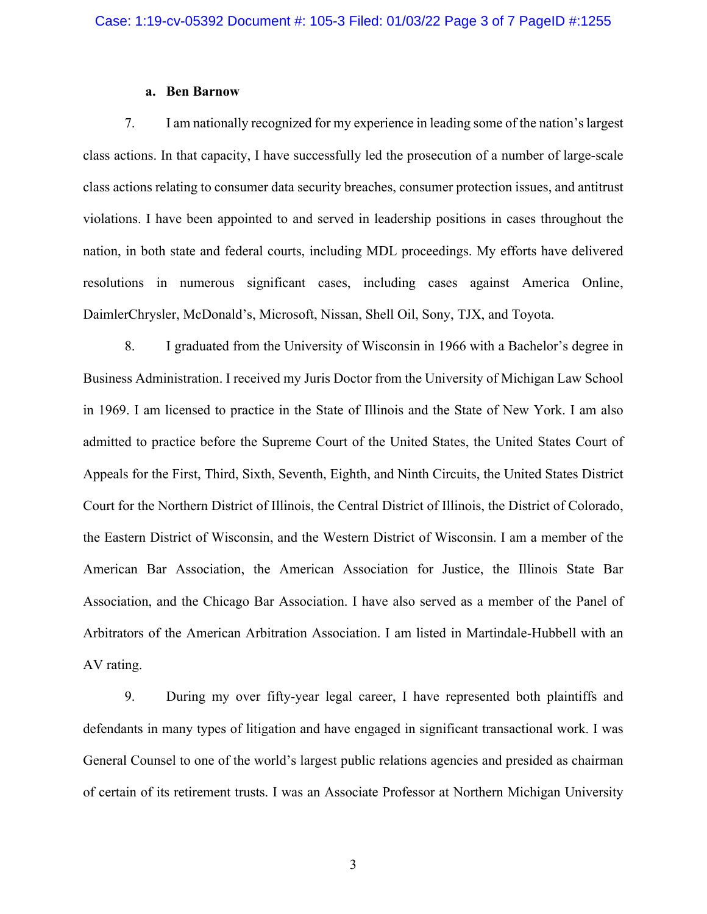### **a. Ben Barnow**

7. I am nationally recognized for my experience in leading some of the nation's largest class actions. In that capacity, I have successfully led the prosecution of a number of large-scale class actions relating to consumer data security breaches, consumer protection issues, and antitrust violations. I have been appointed to and served in leadership positions in cases throughout the nation, in both state and federal courts, including MDL proceedings. My efforts have delivered resolutions in numerous significant cases, including cases against America Online, DaimlerChrysler, McDonald's, Microsoft, Nissan, Shell Oil, Sony, TJX, and Toyota.

8. I graduated from the University of Wisconsin in 1966 with a Bachelor's degree in Business Administration. I received my Juris Doctor from the University of Michigan Law School in 1969. I am licensed to practice in the State of Illinois and the State of New York. I am also admitted to practice before the Supreme Court of the United States, the United States Court of Appeals for the First, Third, Sixth, Seventh, Eighth, and Ninth Circuits, the United States District Court for the Northern District of Illinois, the Central District of Illinois, the District of Colorado, the Eastern District of Wisconsin, and the Western District of Wisconsin. I am a member of the American Bar Association, the American Association for Justice, the Illinois State Bar Association, and the Chicago Bar Association. I have also served as a member of the Panel of Arbitrators of the American Arbitration Association. I am listed in Martindale-Hubbell with an AV rating.

9. During my over fifty-year legal career, I have represented both plaintiffs and defendants in many types of litigation and have engaged in significant transactional work. I was General Counsel to one of the world's largest public relations agencies and presided as chairman of certain of its retirement trusts. I was an Associate Professor at Northern Michigan University

3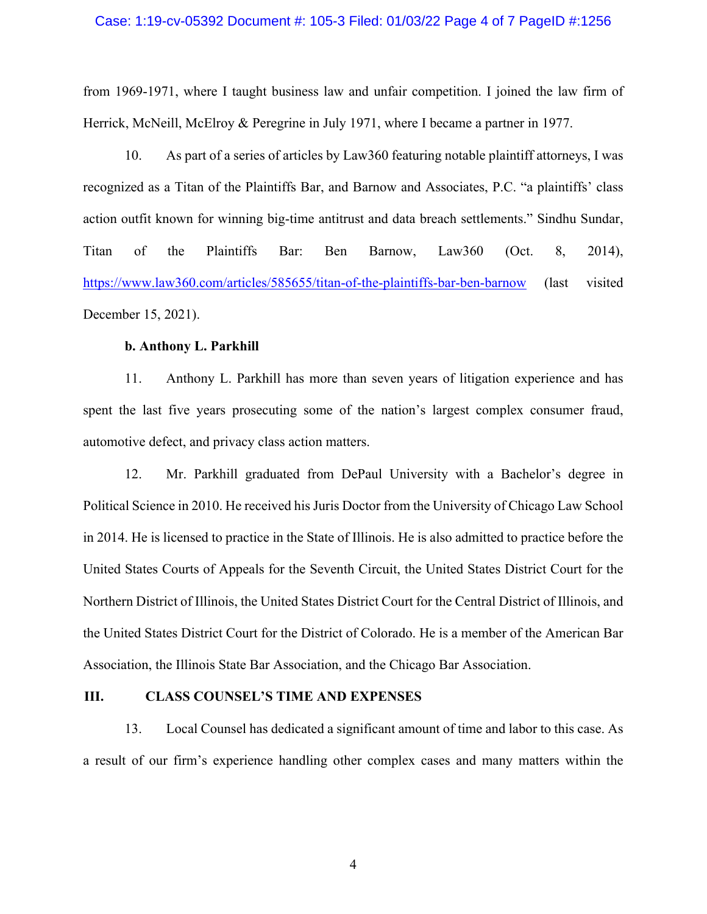#### Case: 1:19-cv-05392 Document #: 105-3 Filed: 01/03/22 Page 4 of 7 PageID #:1256

from 1969-1971, where I taught business law and unfair competition. I joined the law firm of Herrick, McNeill, McElroy & Peregrine in July 1971, where I became a partner in 1977.

10. As part of a series of articles by Law360 featuring notable plaintiff attorneys, I was recognized as a Titan of the Plaintiffs Bar, and Barnow and Associates, P.C. "a plaintiffs' class action outfit known for winning big-time antitrust and data breach settlements." Sindhu Sundar, Titan of the Plaintiffs Bar: Ben Barnow, Law360 (Oct. 8, 2014), https://www.law360.com/articles/585655/titan-of-the-plaintiffs-bar-ben-barnow (last visited December 15, 2021).

#### **b. Anthony L. Parkhill**

11. Anthony L. Parkhill has more than seven years of litigation experience and has spent the last five years prosecuting some of the nation's largest complex consumer fraud, automotive defect, and privacy class action matters.

12. Mr. Parkhill graduated from DePaul University with a Bachelor's degree in Political Science in 2010. He received his Juris Doctor from the University of Chicago Law School in 2014. He is licensed to practice in the State of Illinois. He is also admitted to practice before the United States Courts of Appeals for the Seventh Circuit, the United States District Court for the Northern District of Illinois, the United States District Court for the Central District of Illinois, and the United States District Court for the District of Colorado. He is a member of the American Bar Association, the Illinois State Bar Association, and the Chicago Bar Association.

#### **III. CLASS COUNSEL'S TIME AND EXPENSES**

13. Local Counsel has dedicated a significant amount of time and labor to this case. As a result of our firm's experience handling other complex cases and many matters within the

4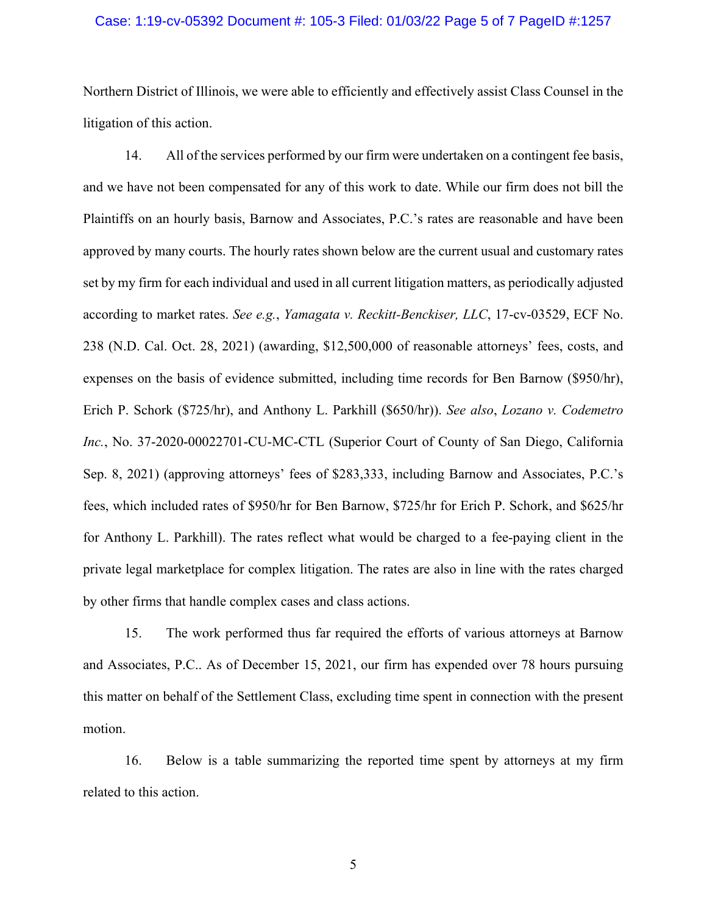#### Case: 1:19-cv-05392 Document #: 105-3 Filed: 01/03/22 Page 5 of 7 PageID #:1257

Northern District of Illinois, we were able to efficiently and effectively assist Class Counsel in the litigation of this action.

14. All of the services performed by our firm were undertaken on a contingent fee basis, and we have not been compensated for any of this work to date. While our firm does not bill the Plaintiffs on an hourly basis, Barnow and Associates, P.C.'s rates are reasonable and have been approved by many courts. The hourly rates shown below are the current usual and customary rates set by my firm for each individual and used in all current litigation matters, as periodically adjusted according to market rates. *See e.g.*, *Yamagata v. Reckitt-Benckiser, LLC*, 17-cv-03529, ECF No. 238 (N.D. Cal. Oct. 28, 2021) (awarding, \$12,500,000 of reasonable attorneys' fees, costs, and expenses on the basis of evidence submitted, including time records for Ben Barnow (\$950/hr), Erich P. Schork (\$725/hr), and Anthony L. Parkhill (\$650/hr)). *See also*, *Lozano v. Codemetro Inc.*, No. 37-2020-00022701-CU-MC-CTL (Superior Court of County of San Diego, California Sep. 8, 2021) (approving attorneys' fees of \$283,333, including Barnow and Associates, P.C.'s fees, which included rates of \$950/hr for Ben Barnow, \$725/hr for Erich P. Schork, and \$625/hr for Anthony L. Parkhill). The rates reflect what would be charged to a fee-paying client in the private legal marketplace for complex litigation. The rates are also in line with the rates charged by other firms that handle complex cases and class actions.

15. The work performed thus far required the efforts of various attorneys at Barnow and Associates, P.C.. As of December 15, 2021, our firm has expended over 78 hours pursuing this matter on behalf of the Settlement Class, excluding time spent in connection with the present motion.

16. Below is a table summarizing the reported time spent by attorneys at my firm related to this action.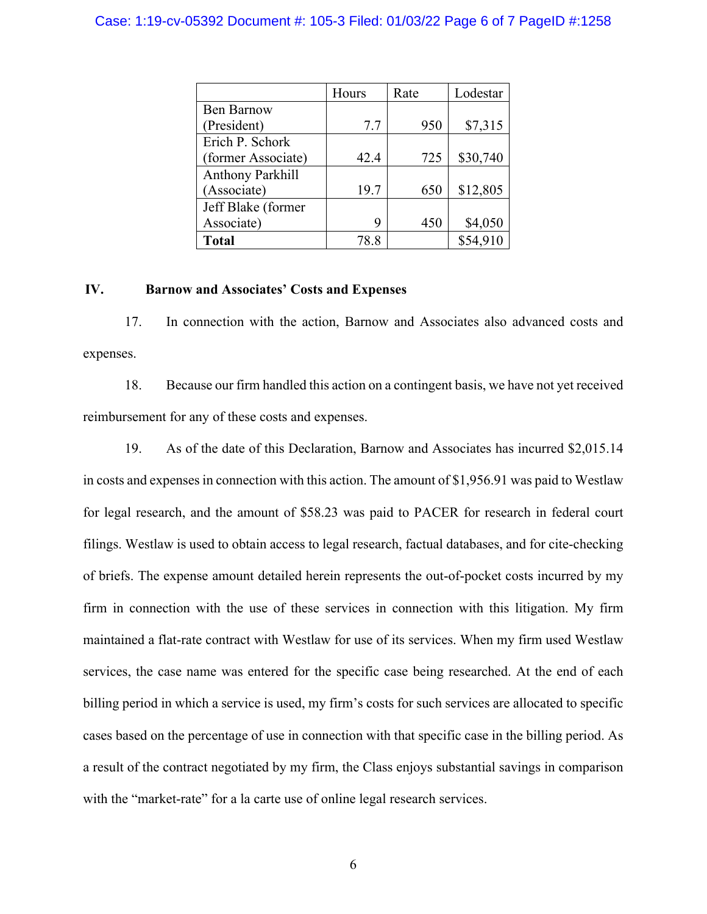### Case: 1:19-cv-05392 Document #: 105-3 Filed: 01/03/22 Page 6 of 7 PageID #:1258

|                    | Hours | Rate | Lodestar |
|--------------------|-------|------|----------|
| <b>Ben Barnow</b>  |       |      |          |
| (President)        | 7.7   | 950  | \$7,315  |
| Erich P. Schork    |       |      |          |
| (former Associate) | 42.4  | 725  | \$30,740 |
| Anthony Parkhill   |       |      |          |
| (Associate)        | 19.7  | 650  | \$12,805 |
| Jeff Blake (former |       |      |          |
| Associate)         | q     | 450  | \$4,050  |
| <b>Total</b>       | 78.8  |      | \$54,910 |

#### **IV. Barnow and Associates' Costs and Expenses**

17. In connection with the action, Barnow and Associates also advanced costs and expenses.

18. Because our firm handled this action on a contingent basis, we have not yet received reimbursement for any of these costs and expenses.

19. As of the date of this Declaration, Barnow and Associates has incurred \$2,015.14 in costs and expenses in connection with this action. The amount of \$1,956.91 was paid to Westlaw for legal research, and the amount of \$58.23 was paid to PACER for research in federal court filings. Westlaw is used to obtain access to legal research, factual databases, and for cite-checking of briefs. The expense amount detailed herein represents the out-of-pocket costs incurred by my firm in connection with the use of these services in connection with this litigation. My firm maintained a flat-rate contract with Westlaw for use of its services. When my firm used Westlaw services, the case name was entered for the specific case being researched. At the end of each billing period in which a service is used, my firm's costs for such services are allocated to specific cases based on the percentage of use in connection with that specific case in the billing period. As a result of the contract negotiated by my firm, the Class enjoys substantial savings in comparison with the "market-rate" for a la carte use of online legal research services.